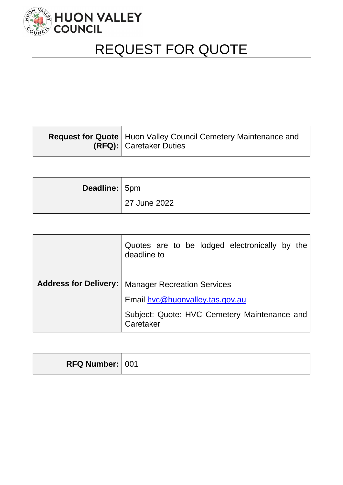

# REQUEST FOR QUOTE

| <b>Request for Quote   Huon Valley Council Cemetery Maintenance and</b><br><b>(RFQ):</b> Caretaker Duties |
|-----------------------------------------------------------------------------------------------------------|
|                                                                                                           |

| Deadline: 5pm |              |
|---------------|--------------|
|               | 27 June 2022 |

|                              | Quotes are to be lodged electronically by the<br>deadline to |  |
|------------------------------|--------------------------------------------------------------|--|
| <b>Address for Delivery:</b> | <b>Manager Recreation Services</b>                           |  |
|                              | Email hyc@huonvalley.tas.gov.au                              |  |
|                              | Subject: Quote: HVC Cemetery Maintenance and<br>Caretaker    |  |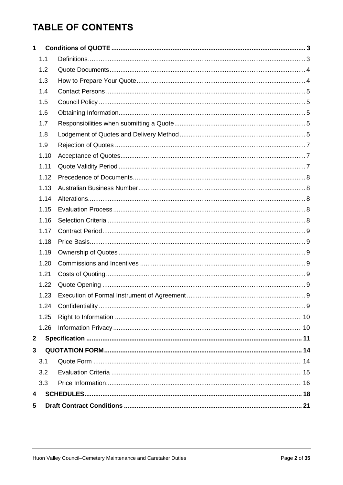# **TABLE OF CONTENTS**

| 1            |      |  |  |
|--------------|------|--|--|
|              | 1.1  |  |  |
|              | 1.2  |  |  |
|              | 1.3  |  |  |
|              | 1.4  |  |  |
|              | 1.5  |  |  |
|              | 1.6  |  |  |
|              | 1.7  |  |  |
|              | 1.8  |  |  |
|              | 1.9  |  |  |
|              | 1.10 |  |  |
|              | 1.11 |  |  |
|              | 1.12 |  |  |
|              | 1.13 |  |  |
|              | 1.14 |  |  |
|              | 1.15 |  |  |
|              | 1.16 |  |  |
|              | 1.17 |  |  |
|              | 1.18 |  |  |
|              | 1.19 |  |  |
|              | 1.20 |  |  |
|              | 1.21 |  |  |
|              | 1.22 |  |  |
|              | 1.23 |  |  |
|              | 1.24 |  |  |
|              | 1.25 |  |  |
|              | 1.26 |  |  |
| $\mathbf{2}$ |      |  |  |
| 3            |      |  |  |
|              | 3.1  |  |  |
|              | 3.2  |  |  |
|              | 3.3  |  |  |
| 4            |      |  |  |
| 5            |      |  |  |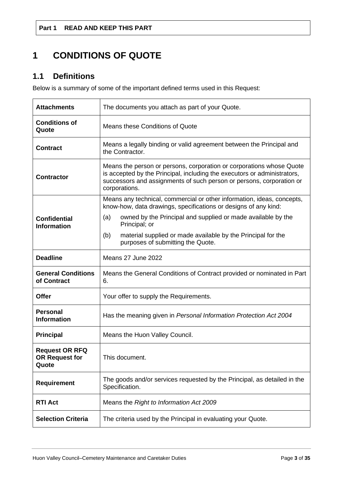# <span id="page-2-0"></span>**1 CONDITIONS OF QUOTE**

# <span id="page-2-1"></span>**1.1 Definitions**

Below is a summary of some of the important defined terms used in this Request:

| <b>Attachments</b>                                      | The documents you attach as part of your Quote.                                                                                                                                                                                           |  |
|---------------------------------------------------------|-------------------------------------------------------------------------------------------------------------------------------------------------------------------------------------------------------------------------------------------|--|
| <b>Conditions of</b><br>Quote                           | Means these Conditions of Quote                                                                                                                                                                                                           |  |
| <b>Contract</b>                                         | Means a legally binding or valid agreement between the Principal and<br>the Contractor.                                                                                                                                                   |  |
| <b>Contractor</b>                                       | Means the person or persons, corporation or corporations whose Quote<br>is accepted by the Principal, including the executors or administrators,<br>successors and assignments of such person or persons, corporation or<br>corporations. |  |
|                                                         | Means any technical, commercial or other information, ideas, concepts,<br>know-how, data drawings, specifications or designs of any kind:                                                                                                 |  |
| <b>Confidential</b><br><b>Information</b>               | owned by the Principal and supplied or made available by the<br>(a)<br>Principal; or                                                                                                                                                      |  |
|                                                         | material supplied or made available by the Principal for the<br>(b)<br>purposes of submitting the Quote.                                                                                                                                  |  |
| <b>Deadline</b>                                         | Means 27 June 2022                                                                                                                                                                                                                        |  |
| <b>General Conditions</b><br>of Contract                | Means the General Conditions of Contract provided or nominated in Part<br>6.                                                                                                                                                              |  |
| <b>Offer</b>                                            | Your offer to supply the Requirements.                                                                                                                                                                                                    |  |
| <b>Personal</b><br><b>Information</b>                   | Has the meaning given in Personal Information Protection Act 2004                                                                                                                                                                         |  |
| <b>Principal</b>                                        | Means the Huon Valley Council.                                                                                                                                                                                                            |  |
| <b>Request OR RFQ</b><br><b>OR Request for</b><br>Quote | This document.                                                                                                                                                                                                                            |  |
| <b>Requirement</b>                                      | The goods and/or services requested by the Principal, as detailed in the<br>Specification.                                                                                                                                                |  |
| <b>RTI Act</b>                                          | Means the Right to Information Act 2009                                                                                                                                                                                                   |  |
| <b>Selection Criteria</b>                               | The criteria used by the Principal in evaluating your Quote.                                                                                                                                                                              |  |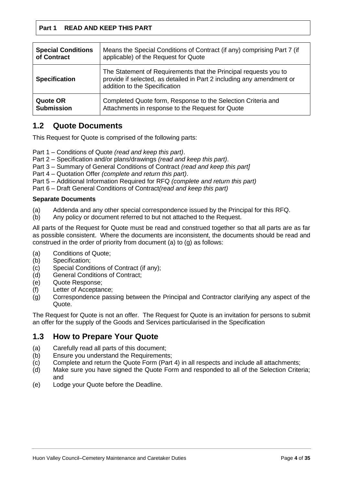| <b>Special Conditions</b><br>Means the Special Conditions of Contract (if any) comprising Part 7 (if<br>applicable) of the Request for Quote<br>of Contract |                                                                                                                                                                            |
|-------------------------------------------------------------------------------------------------------------------------------------------------------------|----------------------------------------------------------------------------------------------------------------------------------------------------------------------------|
| <b>Specification</b>                                                                                                                                        | The Statement of Requirements that the Principal requests you to<br>provide if selected, as detailed in Part 2 including any amendment or<br>addition to the Specification |
| <b>Quote OR</b><br><b>Submission</b>                                                                                                                        | Completed Quote form, Response to the Selection Criteria and<br>Attachments in response to the Request for Quote                                                           |

# <span id="page-3-0"></span>**1.2 Quote Documents**

This Request for Quote is comprised of the following parts:

Part 1 – Conditions of Quote *(read and keep this part)*.

Part 2 – Specification and/or plans/drawings *(read and keep this part)*.

Part 3 – Summary of General Conditions of Contract *(read and keep this part]*

Part 4 – Quotation Offer *(complete and return this part)*.

Part 5 – Additional Information Required for RFQ *(complete and return this part)*

Part 6 – Draft General Conditions of Contract*(read and keep this part)*

## **Separate Documents**

- (a) Addenda and any other special correspondence issued by the Principal for this RFQ.
- (b) Any policy or document referred to but not attached to the Request.

All parts of the Request for Quote must be read and construed together so that all parts are as far as possible consistent. Where the documents are inconsistent, the documents should be read and construed in the order of priority from document (a) to (g) as follows:

- (a) Conditions of Quote;
- (b) Specification;
- (c) Special Conditions of Contract (if any);
- (d) General Conditions of Contract;
- (e) Quote Response;
- (f) Letter of Acceptance;
- (g) Correspondence passing between the Principal and Contractor clarifying any aspect of the Quote.

The Request for Quote is not an offer. The Request for Quote is an invitation for persons to submit an offer for the supply of the Goods and Services particularised in the Specification

# <span id="page-3-1"></span>**1.3 How to Prepare Your Quote**

- (a) Carefully read all parts of this document;
- (b) Ensure you understand the Requirements;
- (c) Complete and return the Quote Form (Part 4) in all respects and include all attachments;
- (d) Make sure you have signed the Quote Form and responded to all of the Selection Criteria; and
- (e) Lodge your Quote before the Deadline.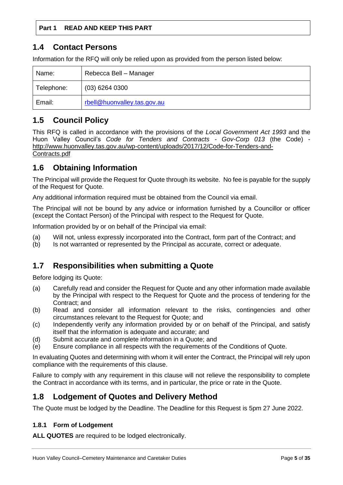## <span id="page-4-0"></span>**1.4 Contact Persons**

Information for the RFQ will only be relied upon as provided from the person listed below:

| Name:      | Rebecca Bell - Manager      |
|------------|-----------------------------|
| Telephone: | $(03)$ 6264 0300            |
| Email:     | rbell@huonvalley.tas.gov.au |

# <span id="page-4-1"></span>**1.5 Council Policy**

This RFQ is called in accordance with the provisions of the *Local Government Act 1993* and the Huon Valley Council's *Code for Tenders and Contracts - Gov-Corp 013* (the Code) [http://www.huonvalley.tas.gov.au/wp-content/uploads/2017/12/Code-for-Tenders-and-](http://www.huonvalley.tas.gov.au/wp-content/uploads/2017/12/Code-for-Tenders-and-Contracts.pdf)[Contracts.pdf](http://www.huonvalley.tas.gov.au/wp-content/uploads/2017/12/Code-for-Tenders-and-Contracts.pdf)

# <span id="page-4-2"></span>**1.6 Obtaining Information**

The Principal will provide the Request for Quote through its website. No fee is payable for the supply of the Request for Quote.

Any additional information required must be obtained from the Council via email.

The Principal will not be bound by any advice or information furnished by a Councillor or officer (except the Contact Person) of the Principal with respect to the Request for Quote.

Information provided by or on behalf of the Principal via email:

- (a) Will not, unless expressly incorporated into the Contract, form part of the Contract; and
- (b) Is not warranted or represented by the Principal as accurate, correct or adequate.

## <span id="page-4-3"></span>**1.7 Responsibilities when submitting a Quote**

Before lodging its Quote:

- (a) Carefully read and consider the Request for Quote and any other information made available by the Principal with respect to the Request for Quote and the process of tendering for the Contract; and
- (b) Read and consider all information relevant to the risks, contingencies and other circumstances relevant to the Request for Quote; and
- (c) Independently verify any information provided by or on behalf of the Principal, and satisfy itself that the information is adequate and accurate; and
- (d) Submit accurate and complete information in a Quote; and
- (e) Ensure compliance in all respects with the requirements of the Conditions of Quote.

In evaluating Quotes and determining with whom it will enter the Contract, the Principal will rely upon compliance with the requirements of this clause.

Failure to comply with any requirement in this clause will not relieve the responsibility to complete the Contract in accordance with its terms, and in particular, the price or rate in the Quote.

# <span id="page-4-4"></span>**1.8 Lodgement of Quotes and Delivery Method**

The Quote must be lodged by the Deadline. The Deadline for this Request is 5pm 27 June 2022.

## **1.8.1 Form of Lodgement**

**ALL QUOTES** are required to be lodged electronically.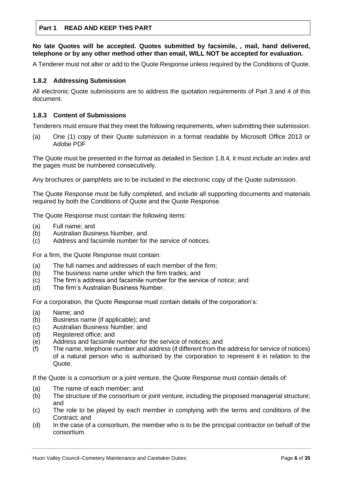**No late Quotes will be accepted. Quotes submitted by facsimile, , mail, hand delivered, telephone or by any other method other than email, WILL NOT be accepted for evaluation.**

A Tenderer must not alter or add to the Quote Response unless required by the Conditions of Quote.

### **1.8.2 Addressing Submission**

All electronic Quote submissions are to address the quotation requirements of Part 3 and 4 of this document.

### **1.8.3 Content of Submissions**

Tenderers must ensure that they meet the following requirements, when submitting their submission:

(a) One (1) copy of their Quote submission in a format readable by Microsoft Office 2013 or Adobe PDF

The Quote must be presented in the format as detailed in Section 1.8.4*,* it must include an index and the pages must be numbered consecutively.

Any brochures or pamphlets are to be included in the electronic copy of the Quote submission.

The Quote Response must be fully completed, and include all supporting documents and materials required by both the Conditions of Quote and the Quote Response.

The Quote Response must contain the following items:

- (a) Full name; and
- (b) Australian Business Number, and
- (c) Address and facsimile number for the service of notices.

For a firm, the Quote Response must contain:

- (a) The full names and addresses of each member of the firm;
- (b) The business name under which the firm trades; and
- $(c)$  The firm's address and facsimile number for the service of notice; and
- (d) The firm's Australian Business Number.

For a corporation, the Quote Response must contain details of the corporation's:

- (a) Name; and
- (b) Business name (if applicable); and
- (c) Australian Business Number; and
- (d) Registered office; and
- (e) Address and facsimile number for the service of notices; and
- (f) The name, telephone number and address (if different from the address for service of notices) of a natural person who is authorised by the corporation to represent it in relation to the Quote.

If the Quote is a consortium or a joint venture, the Quote Response must contain details of:

- (a) The name of each member; and
- (b) The structure of the consortium or joint venture, including the proposed managerial structure; and
- (c) The role to be played by each member in complying with the terms and conditions of the Contract; and
- (d) In the case of a consortium, the member who is to be the principal contractor on behalf of the consortium.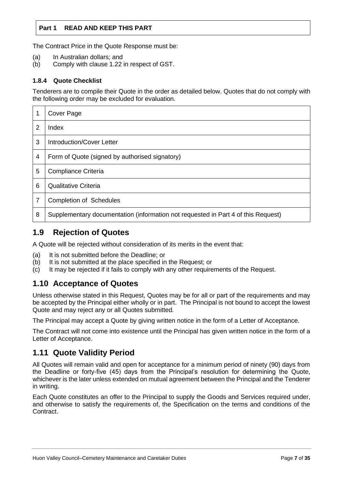The Contract Price in the Quote Response must be:

- (a) In Australian dollars; and
- (b) Comply with clause 1.22 in respect of GST.

#### **1.8.4 Quote Checklist**

Tenderers are to compile their Quote in the order as detailed below. Quotes that do not comply with the following order may be excluded for evaluation.

|   | Cover Page                                                                        |
|---|-----------------------------------------------------------------------------------|
| 2 | Index                                                                             |
| 3 | Introduction/Cover Letter                                                         |
| 4 | Form of Quote (signed by authorised signatory)                                    |
| 5 | Compliance Criteria                                                               |
| 6 | Qualitative Criteria                                                              |
| 7 | <b>Completion of Schedules</b>                                                    |
| 8 | Supplementary documentation (information not requested in Part 4 of this Request) |

# <span id="page-6-0"></span>**1.9 Rejection of Quotes**

A Quote will be rejected without consideration of its merits in the event that:

- (a) It is not submitted before the Deadline; or
- (b) It is not submitted at the place specified in the Request; or
- (c) It may be rejected if it fails to comply with any other requirements of the Request.

## <span id="page-6-1"></span>**1.10 Acceptance of Quotes**

Unless otherwise stated in this Request, Quotes may be for all or part of the requirements and may be accepted by the Principal either wholly or in part. The Principal is not bound to accept the lowest Quote and may reject any or all Quotes submitted.

The Principal may accept a Quote by giving written notice in the form of a Letter of Acceptance.

The Contract will not come into existence until the Principal has given written notice in the form of a Letter of Acceptance.

# <span id="page-6-2"></span>**1.11 Quote Validity Period**

All Quotes will remain valid and open for acceptance for a minimum period of ninety (90) days from the Deadline or forty-five (45) days from the Principal's resolution for determining the Quote, whichever is the later unless extended on mutual agreement between the Principal and the Tenderer in writing.

Each Quote constitutes an offer to the Principal to supply the Goods and Services required under, and otherwise to satisfy the requirements of, the Specification on the terms and conditions of the **Contract**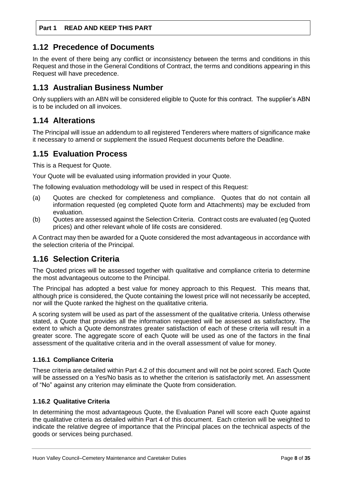## <span id="page-7-0"></span>**1.12 Precedence of Documents**

In the event of there being any conflict or inconsistency between the terms and conditions in this Request and those in the General Conditions of Contract, the terms and conditions appearing in this Request will have precedence.

# <span id="page-7-1"></span>**1.13 Australian Business Number**

Only suppliers with an ABN will be considered eligible to Quote for this contract. The supplier's ABN is to be included on all invoices.

# <span id="page-7-2"></span>**1.14 Alterations**

The Principal will issue an addendum to all registered Tenderers where matters of significance make it necessary to amend or supplement the issued Request documents before the Deadline.

# <span id="page-7-3"></span>**1.15 Evaluation Process**

This is a Request for Quote.

Your Quote will be evaluated using information provided in your Quote.

The following evaluation methodology will be used in respect of this Request:

- (a) Quotes are checked for completeness and compliance. Quotes that do not contain all information requested (eg completed Quote form and Attachments) may be excluded from evaluation.
- (b) Quotes are assessed against the Selection Criteria. Contract costs are evaluated (eg Quoted prices) and other relevant whole of life costs are considered.

A Contract may then be awarded for a Quote considered the most advantageous in accordance with the selection criteria of the Principal.

# <span id="page-7-4"></span>**1.16 Selection Criteria**

The Quoted prices will be assessed together with qualitative and compliance criteria to determine the most advantageous outcome to the Principal.

The Principal has adopted a best value for money approach to this Request. This means that, although price is considered, the Quote containing the lowest price will not necessarily be accepted, nor will the Quote ranked the highest on the qualitative criteria.

A scoring system will be used as part of the assessment of the qualitative criteria. Unless otherwise stated, a Quote that provides all the information requested will be assessed as satisfactory. The extent to which a Quote demonstrates greater satisfaction of each of these criteria will result in a greater score. The aggregate score of each Quote will be used as one of the factors in the final assessment of the qualitative criteria and in the overall assessment of value for money.

## **1.16.1 Compliance Criteria**

These criteria are detailed within Part 4.2 of this document and will not be point scored. Each Quote will be assessed on a Yes/No basis as to whether the criterion is satisfactorily met. An assessment of "No" against any criterion may eliminate the Quote from consideration.

## **1.16.2 Qualitative Criteria**

In determining the most advantageous Quote, the Evaluation Panel will score each Quote against the qualitative criteria as detailed within Part 4 of this document. Each criterion will be weighted to indicate the relative degree of importance that the Principal places on the technical aspects of the goods or services being purchased.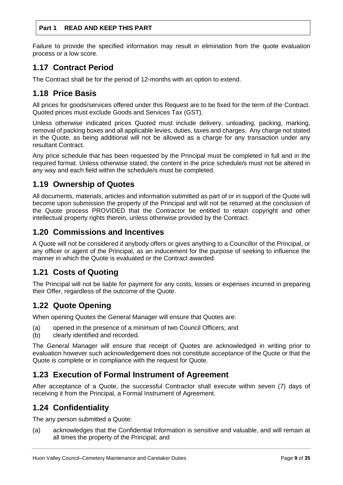Failure to provide the specified information may result in elimination from the quote evaluation process or a low score.

## <span id="page-8-0"></span>**1.17 Contract Period**

The Contract shall be for the period of 12-months with an option to extend.

# <span id="page-8-1"></span>**1.18 Price Basis**

All prices for goods/services offered under this Request are to be fixed for the term of the Contract. Quoted prices must exclude Goods and Services Tax (GST).

Unless otherwise indicated prices Quoted must include delivery, unloading, packing, marking, removal of packing boxes and all applicable levies, duties, taxes and charges. Any charge not stated in the Quote, as being additional will not be allowed as a charge for any transaction under any resultant Contract.

Any price schedule that has been requested by the Principal must be completed in full and in the required format. Unless otherwise stated, the content in the price schedule/s must not be altered in any way and each field within the schedule/s must be completed.

## <span id="page-8-2"></span>**1.19 Ownership of Quotes**

All documents, materials, articles and information submitted as part of or in support of the Quote will become upon submission the property of the Principal and will not be returned at the conclusion of the Quote process PROVIDED that the Contractor be entitled to retain copyright and other intellectual property rights therein, unless otherwise provided by the Contract.

## <span id="page-8-3"></span>**1.20 Commissions and Incentives**

A Quote will not be considered if anybody offers or gives anything to a Councillor of the Principal, or any officer or agent of the Principal, as an inducement for the purpose of seeking to influence the manner in which the Quote is evaluated or the Contract awarded.

# <span id="page-8-4"></span>**1.21 Costs of Quoting**

The Principal will not be liable for payment for any costs, losses or expenses incurred in preparing their Offer, regardless of the outcome of the Quote.

# <span id="page-8-5"></span>**1.22 Quote Opening**

When opening Quotes the General Manager will ensure that Quotes are:

- (a) opened in the presence of a minimum of two Council Officers; and
- (b) clearly identified and recorded.

The General Manager will ensure that receipt of Quotes are acknowledged in writing prior to evaluation however such acknowledgement does not constitute acceptance of the Quote or that the Quote is complete or in compliance with the request for Quote.

# <span id="page-8-6"></span>**1.23 Execution of Formal Instrument of Agreement**

After acceptance of a Quote, the successful Contractor shall execute within seven (7) days of receiving it from the Principal, a Formal Instrument of Agreement.

## <span id="page-8-7"></span>**1.24 Confidentiality**

The any person submitted a Quote:

(a) acknowledges that the Confidential Information is sensitive and valuable, and will remain at all times the property of the Principal; and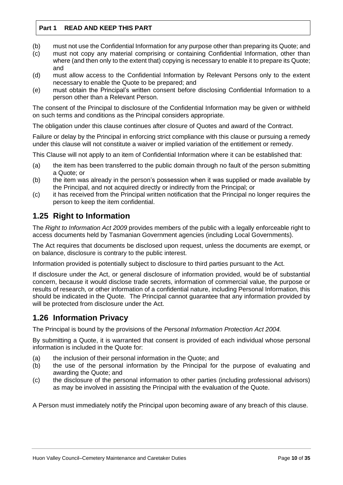- (b) must not use the Confidential Information for any purpose other than preparing its Quote; and
- (c) must not copy any material comprising or containing Confidential Information, other than where (and then only to the extent that) copying is necessary to enable it to prepare its Quote; and
- (d) must allow access to the Confidential Information by Relevant Persons only to the extent necessary to enable the Quote to be prepared; and
- (e) must obtain the Principal's written consent before disclosing Confidential Information to a person other than a Relevant Person.

The consent of the Principal to disclosure of the Confidential Information may be given or withheld on such terms and conditions as the Principal considers appropriate.

The obligation under this clause continues after closure of Quotes and award of the Contract.

Failure or delay by the Principal in enforcing strict compliance with this clause or pursuing a remedy under this clause will not constitute a waiver or implied variation of the entitlement or remedy.

This Clause will not apply to an item of Confidential Information where it can be established that:

- (a) the item has been transferred to the public domain through no fault of the person submitting a Quote; or
- (b) the item was already in the person's possession when it was supplied or made available by the Principal, and not acquired directly or indirectly from the Principal; or
- (c) it has received from the Principal written notification that the Principal no longer requires the person to keep the item confidential.

# <span id="page-9-0"></span>**1.25 Right to Information**

The *Right to Information Act 2009* provides members of the public with a legally enforceable right to access documents held by Tasmanian Government agencies (including Local Governments).

The Act requires that documents be disclosed upon request, unless the documents are exempt, or on balance, disclosure is contrary to the public interest.

Information provided is potentially subject to disclosure to third parties pursuant to the Act.

If disclosure under the Act, or general disclosure of information provided, would be of substantial concern, because it would disclose trade secrets, information of commercial value, the purpose or results of research, or other information of a confidential nature, including Personal Information, this should be indicated in the Quote. The Principal cannot guarantee that any information provided by will be protected from disclosure under the Act.

# <span id="page-9-1"></span>**1.26 Information Privacy**

The Principal is bound by the provisions of the *Personal Information Protection Act 2004.*

By submitting a Quote, it is warranted that consent is provided of each individual whose personal information is included in the Quote for:

- (a) the inclusion of their personal information in the Quote; and
- (b) the use of the personal information by the Principal for the purpose of evaluating and awarding the Quote; and
- (c) the disclosure of the personal information to other parties (including professional advisors) as may be involved in assisting the Principal with the evaluation of the Quote.

A Person must immediately notify the Principal upon becoming aware of any breach of this clause.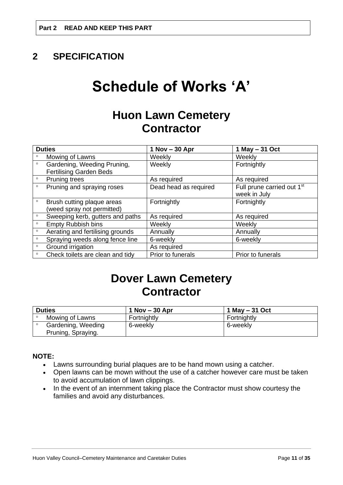# <span id="page-10-0"></span>**2 SPECIFICATION**

# **Schedule of Works 'A'**

# **Huon Lawn Cemetery Contractor**

| <b>Duties</b> |                                                               | $1$ Nov $-30$ Apr     | 1 May - 31 Oct                                         |
|---------------|---------------------------------------------------------------|-----------------------|--------------------------------------------------------|
| $\circ$       | Mowing of Lawns                                               | Weekly                | Weekly                                                 |
| $\circ$       | Gardening, Weeding Pruning,<br><b>Fertilising Garden Beds</b> | Weekly                | Fortnightly                                            |
| $\circ$       | Pruning trees                                                 | As required           | As required                                            |
| $\circ$       | Pruning and spraying roses                                    | Dead head as required | Full prune carried out 1 <sup>st</sup><br>week in July |
| $\circ$       | Brush cutting plaque areas<br>(weed spray not permitted)      | Fortnightly           | Fortnightly                                            |
| $\circ$       | Sweeping kerb, gutters and paths                              | As required           | As required                                            |
| $\circ$       | <b>Empty Rubbish bins</b>                                     | Weekly                | Weekly                                                 |
| $\circ$       | Aerating and fertilising grounds                              | Annually              | Annually                                               |
| $\circ$       | Spraying weeds along fence line                               | 6-weekly              | 6-weekly                                               |
| $\circ$       | Ground irrigation                                             | As required           |                                                        |
| $\circ$       | Check toilets are clean and tidy                              | Prior to funerals     | Prior to funerals                                      |

# **Dover Lawn Cemetery Contractor**

| <b>Duties</b> |                                          | $1$ Nov $-$ 30 Apr | 1 May - 31 Oct |
|---------------|------------------------------------------|--------------------|----------------|
|               | Mowing of Lawns                          | Fortnightly        | Fortnightly    |
|               | Gardening, Weeding<br>Pruning, Spraying. | 6-weekly           | 6-weekly       |

## **NOTE:**

- Lawns surrounding burial plaques are to be hand mown using a catcher.
- Open lawns can be mown without the use of a catcher however care must be taken to avoid accumulation of lawn clippings.
- In the event of an internment taking place the Contractor must show courtesy the families and avoid any disturbances.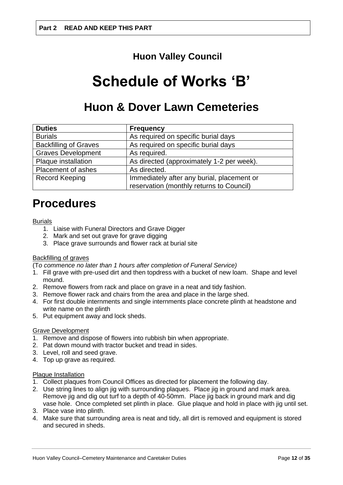# **Huon Valley Council**

# **Schedule of Works 'B'**

# **Huon & Dover Lawn Cemeteries**

| <b>Duties</b>                | <b>Frequency</b>                           |
|------------------------------|--------------------------------------------|
| <b>Burials</b>               | As required on specific burial days        |
| <b>Backfilling of Graves</b> | As required on specific burial days        |
| <b>Graves Development</b>    | As required.                               |
| Plaque installation          | As directed (approximately 1-2 per week).  |
| <b>Placement of ashes</b>    | As directed.                               |
| <b>Record Keeping</b>        | Immediately after any burial, placement or |
|                              | reservation (monthly returns to Council)   |

# **Procedures**

#### Burials

- 1. Liaise with Funeral Directors and Grave Digger
- 2. Mark and set out grave for grave digging
- 3. Place grave surrounds and flower rack at burial site

## Backfilling of graves

(T*o commence no later than 1 hours after completion of Funeral Service)* 

- 1. Fill grave with pre-used dirt and then topdress with a bucket of new loam. Shape and level mound.
- 2. Remove flowers from rack and place on grave in a neat and tidy fashion.
- 3. Remove flower rack and chairs from the area and place in the large shed.
- 4. For first double internments and single internments place concrete plinth at headstone and write name on the plinth
- 5. Put equipment away and lock sheds.

#### Grave Development

- 1. Remove and dispose of flowers into rubbish bin when appropriate.
- 2. Pat down mound with tractor bucket and tread in sides.
- 3. Level, roll and seed grave.
- 4. Top up grave as required.

#### Plaque Installation

- 1. Collect plaques from Council Offices as directed for placement the following day.
- 2. Use string lines to align jig with surrounding plaques. Place jig in ground and mark area. Remove jig and dig out turf to a depth of 40-50mm. Place jig back in ground mark and dig vase hole. Once completed set plinth in place. Glue plaque and hold in place with jig until set.
- 3. Place vase into plinth.
- 4. Make sure that surrounding area is neat and tidy, all dirt is removed and equipment is stored and secured in sheds.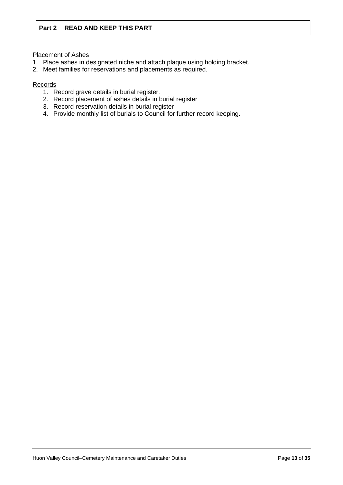Placement of Ashes

- 1. Place ashes in designated niche and attach plaque using holding bracket.
- 2. Meet families for reservations and placements as required.

### Records

- 1. Record grave details in burial register.
- 2. Record placement of ashes details in burial register
- 3. Record reservation details in burial register
- 4. Provide monthly list of burials to Council for further record keeping.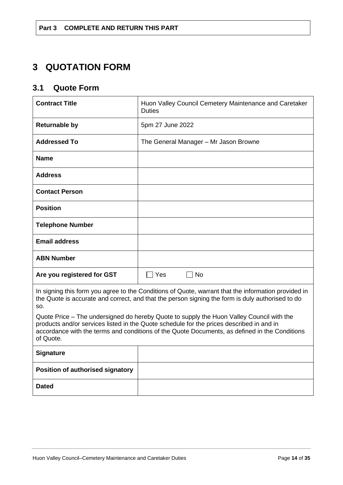# <span id="page-13-0"></span>**3 QUOTATION FORM**

# <span id="page-13-1"></span>**3.1 Quote Form**

| <b>Contract Title</b>                                                                                                                                                                                                                                                                              | Huon Valley Council Cemetery Maintenance and Caretaker<br><b>Duties</b> |  |
|----------------------------------------------------------------------------------------------------------------------------------------------------------------------------------------------------------------------------------------------------------------------------------------------------|-------------------------------------------------------------------------|--|
| <b>Returnable by</b>                                                                                                                                                                                                                                                                               | 5pm 27 June 2022                                                        |  |
| <b>Addressed To</b>                                                                                                                                                                                                                                                                                | The General Manager - Mr Jason Browne                                   |  |
| <b>Name</b>                                                                                                                                                                                                                                                                                        |                                                                         |  |
| <b>Address</b>                                                                                                                                                                                                                                                                                     |                                                                         |  |
| <b>Contact Person</b>                                                                                                                                                                                                                                                                              |                                                                         |  |
| <b>Position</b>                                                                                                                                                                                                                                                                                    |                                                                         |  |
| <b>Telephone Number</b>                                                                                                                                                                                                                                                                            |                                                                         |  |
| <b>Email address</b>                                                                                                                                                                                                                                                                               |                                                                         |  |
| <b>ABN Number</b>                                                                                                                                                                                                                                                                                  |                                                                         |  |
| Are you registered for GST                                                                                                                                                                                                                                                                         | $\Box$ No<br>$\sqcap$ Yes                                               |  |
| In signing this form you agree to the Conditions of Quote, warrant that the information provided in<br>the Quote is accurate and correct, and that the person signing the form is duly authorised to do<br>SO.                                                                                     |                                                                         |  |
| Quote Price – The undersigned do hereby Quote to supply the Huon Valley Council with the<br>products and/or services listed in the Quote schedule for the prices described in and in<br>accordance with the terms and conditions of the Quote Documents, as defined in the Conditions<br>of Quote. |                                                                         |  |
| <b>Signature</b>                                                                                                                                                                                                                                                                                   |                                                                         |  |
| Position of authorised signatory                                                                                                                                                                                                                                                                   |                                                                         |  |
| <b>Dated</b>                                                                                                                                                                                                                                                                                       |                                                                         |  |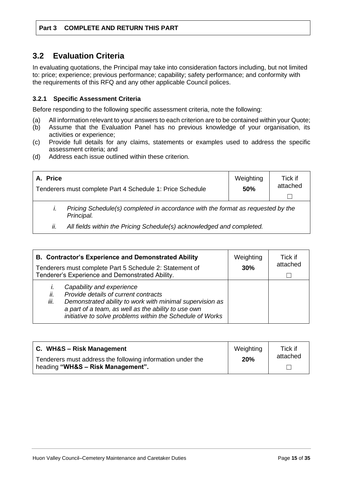# <span id="page-14-0"></span>**3.2 Evaluation Criteria**

In evaluating quotations, the Principal may take into consideration factors including, but not limited to: price; experience; previous performance; capability; safety performance; and conformity with the requirements of this RFQ and any other applicable Council polices.

## **3.2.1 Specific Assessment Criteria**

Before responding to the following specific assessment criteria, note the following:

- (a) All information relevant to your answers to each criterion are to be contained within your Quote;
- (b) Assume that the Evaluation Panel has no previous knowledge of your organisation, its activities or experience;
- (c) Provide full details for any claims, statements or examples used to address the specific assessment criteria; and
- (d) Address each issue outlined within these criterion.

| A. Price                                                                                      | Tenderers must complete Part 4 Schedule 1: Price Schedule             | Weighting<br><b>50%</b> | Tick if<br>attached |
|-----------------------------------------------------------------------------------------------|-----------------------------------------------------------------------|-------------------------|---------------------|
| Pricing Schedule(s) completed in accordance with the format as requested by the<br>Principal. |                                                                       |                         |                     |
| İİ.                                                                                           | All fields within the Pricing Schedule(s) acknowledged and completed. |                         |                     |

| <b>B. Contractor's Experience and Demonstrated Ability</b><br>Tenderers must complete Part 5 Schedule 2: Statement of<br>Tenderer's Experience and Demonstrated Ability. |                                                                                                                                                                                                                                                   | Weighting<br>30% | Tick if<br>attached |
|--------------------------------------------------------------------------------------------------------------------------------------------------------------------------|---------------------------------------------------------------------------------------------------------------------------------------------------------------------------------------------------------------------------------------------------|------------------|---------------------|
| ii.<br>iii.                                                                                                                                                              | Capability and experience<br>Provide details of current contracts<br>Demonstrated ability to work with minimal supervision as<br>a part of a team, as well as the ability to use own<br>initiative to solve problems within the Schedule of Works |                  |                     |

| C. WH&S - Risk Management                                  | Weighting | Tick if  |
|------------------------------------------------------------|-----------|----------|
| Tenderers must address the following information under the | 20%       | attached |
| heading "WH&S - Risk Management".                          |           |          |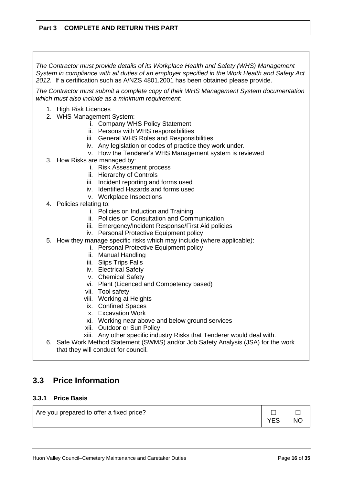*The Contractor must provide details of its Workplace Health and Safety (WHS) Management System in compliance with all duties of an employer specified in the Work Health and Safety Act 2012.* If a certification such as A/NZS 4801.2001 has been obtained please provide.

*The Contractor must submit a complete copy of their WHS Management System documentation which must also include as a minimum requirement:*

- 1. High Risk Licences
- 2. WHS Management System:
	- i. Company WHS Policy Statement
	- ii. Persons with WHS responsibilities
	- iii. General WHS Roles and Responsibilities
	- iv. Any legislation or codes of practice they work under.
	- v. How the Tenderer's WHS Management system is reviewed
- 3. How Risks are managed by:
	- i. Risk Assessment process
	- ii. Hierarchy of Controls
	- iii. Incident reporting and forms used
	- iv. Identified Hazards and forms used
	- v. Workplace Inspections
- 4. Policies relating to:
	- i. Policies on Induction and Training
	- ii. Policies on Consultation and Communication
	- iii. Emergency/Incident Response/First Aid policies
	- iv. Personal Protective Equipment policy
- 5. How they manage specific risks which may include (where applicable):
	- i. Personal Protective Equipment policy
	- ii. Manual Handling
	- iii. Slips Trips Falls
	- iv. Electrical Safety
	- v. Chemical Safety
	- vi. Plant (Licenced and Competency based)
	- vii. Tool safety
	- viii. Working at Heights
	- ix. Confined Spaces
	- x. Excavation Work
	- xi. Working near above and below ground services
	- xii. Outdoor or Sun Policy
	- xiii. Any other specific industry Risks that Tenderer would deal with.
- 6. Safe Work Method Statement (SWMS) and/or Job Safety Analysis (JSA) for the work that they will conduct for council.

# <span id="page-15-0"></span>**3.3 Price Information**

### **3.3.1 Price Basis**

| Are you prepared to offer a fixed price? | $\begin{array}{c c c c c c} \hline \quad \  & \quad \  & \quad \  & \quad \  \end{array}$ |  |
|------------------------------------------|-------------------------------------------------------------------------------------------|--|
|                                          | YES NO                                                                                    |  |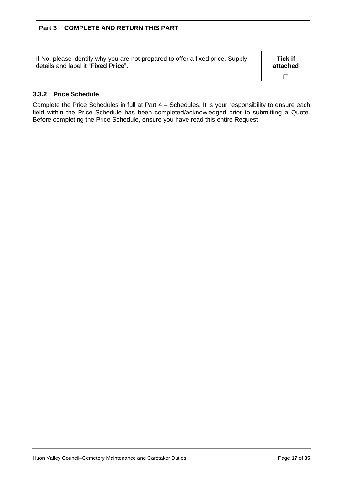| If No, please identify why you are not prepared to offer a fixed price. Supply | Tick if  |
|--------------------------------------------------------------------------------|----------|
| details and label it "Fixed Price".                                            | attached |
|                                                                                |          |

## **3.3.2 Price Schedule**

Complete the Price Schedules in full at Part 4 – Schedules. It is your responsibility to ensure each field within the Price Schedule has been completed/acknowledged prior to submitting a Quote. Before completing the Price Schedule, ensure you have read this entire Request.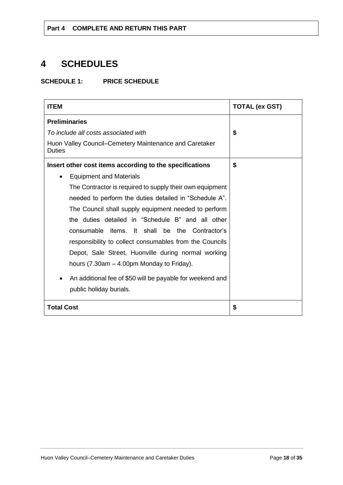# <span id="page-17-0"></span>**4 SCHEDULES**

**SCHEDULE 1: PRICE SCHEDULE**

| <b>ITEM</b>                                                             | <b>TOTAL (ex GST)</b> |
|-------------------------------------------------------------------------|-----------------------|
| <b>Preliminaries</b>                                                    |                       |
| To include all costs associated with                                    | \$                    |
| Huon Valley Council–Cemetery Maintenance and Caretaker<br><b>Duties</b> |                       |
| Insert other cost items according to the specifications                 | \$                    |
| <b>Equipment and Materials</b>                                          |                       |
| The Contractor is required to supply their own equipment                |                       |
| needed to perform the duties detailed in "Schedule A".                  |                       |
| The Council shall supply equipment needed to perform                    |                       |
| the duties detailed in "Schedule B" and all other                       |                       |
| items. It shall be the Contractor's<br>consumable                       |                       |
| responsibility to collect consumables from the Councils                 |                       |
| Depot, Sale Street, Huonville during normal working                     |                       |
| hours (7.30am – 4.00pm Monday to Friday).                               |                       |
| An additional fee of \$50 will be payable for weekend and<br>$\bullet$  |                       |
| public holiday burials.                                                 |                       |
| <b>Total Cost</b>                                                       | \$                    |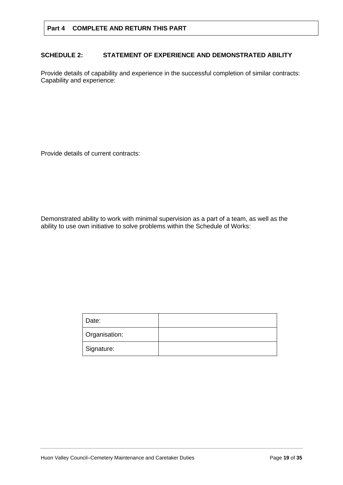## **SCHEDULE 2: STATEMENT OF EXPERIENCE AND DEMONSTRATED ABILITY**

Provide details of capability and experience in the successful completion of similar contracts: Capability and experience:

Provide details of current contracts:

Demonstrated ability to work with minimal supervision as a part of a team, as well as the ability to use own initiative to solve problems within the Schedule of Works:

| Date:         |  |
|---------------|--|
| Organisation: |  |
| Signature:    |  |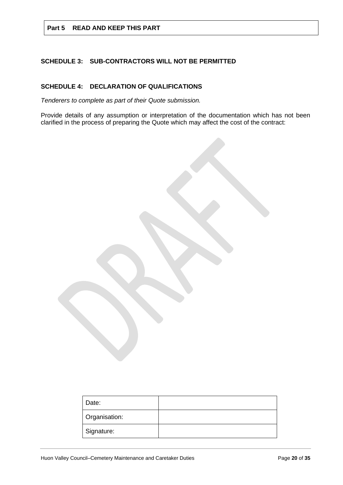## **SCHEDULE 3: SUB-CONTRACTORS WILL NOT BE PERMITTED**

## **SCHEDULE 4: DECLARATION OF QUALIFICATIONS**

*Tenderers to complete as part of their Quote submission.*

Provide details of any assumption or interpretation of the documentation which has not been clarified in the process of preparing the Quote which may affect the cost of the contract:

| Date:         |  |
|---------------|--|
| Organisation: |  |
| Signature:    |  |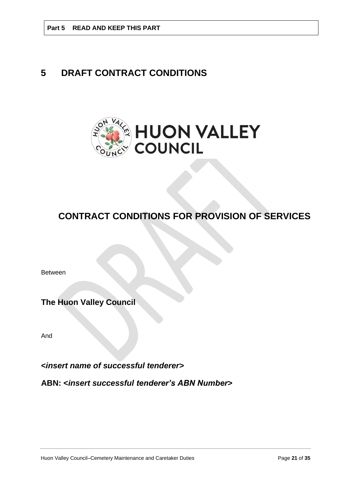# <span id="page-20-0"></span>**5 DRAFT CONTRACT CONDITIONS**



# **CONTRACT CONDITIONS FOR PROVISION OF SERVICES**

Between

**The Huon Valley Council**

And

**<***insert name of successful tenderer***>**

**ABN: <***insert successful tenderer's ABN Number***>**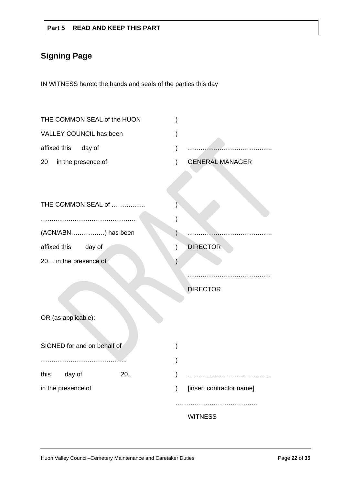# **Signing Page**

IN WITNESS hereto the hands and seals of the parties this day

|              | THE COMMON SEAL of the HUON |     |               |                          |
|--------------|-----------------------------|-----|---------------|--------------------------|
|              | VALLEY COUNCIL has been     |     |               |                          |
| affixed this | day of                      |     |               |                          |
| 20           | in the presence of          |     | ⟩             | <b>GENERAL MANAGER</b>   |
|              |                             |     |               |                          |
|              |                             |     |               |                          |
|              | THE COMMON SEAL of          |     |               |                          |
|              |                             |     |               |                          |
|              | (ACN/ABN) has been          |     |               |                          |
| affixed this | day of                      |     | $\mathcal{E}$ | <b>DIRECTOR</b>          |
|              | 20 in the presence of       |     |               |                          |
|              |                             |     |               |                          |
|              |                             |     |               | <b>DIRECTOR</b>          |
|              |                             |     |               |                          |
|              | OR (as applicable):         |     |               |                          |
|              |                             |     |               |                          |
|              | SIGNED for and on behalf of |     |               |                          |
|              |                             |     |               |                          |
| this         | day of                      | 20. |               |                          |
|              | in the presence of          |     | )             | [insert contractor name] |
|              |                             |     |               |                          |
|              |                             |     |               | <b>WITNESS</b>           |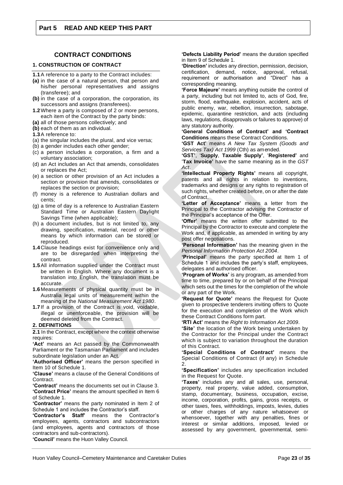#### **CONTRACT CONDITIONS**

#### **1. CONSTRUCTION OF CONTRACT**

- **1.1**A reference to a party to the Contract includes:
- **(a)** in the case of a natural person, that person and his/her personal representatives and assigns (transferee); and
- **(b)** in the case of a corporation, the corporation, its successors and assigns (transferees).
- **1.2**Where a party is composed of 2 or more persons, each item of the Contract by the party binds:
- **(a)** all of those persons collectively; and
- **(b)** each of them as an individual.
- **1.3**A reference to:
- (a) the singular includes the plural, and vice versa;
- (b) a gender includes each other gender;
- (c) a person includes a corporation, a firm and a voluntary association;
- (d) an Act includes an Act that amends, consolidates or replaces the Act;
- (e) a section or other provision of an Act includes a section or provision that amends, consolidates or replaces the section or provision;
- (f) money is a reference to Australian dollars and cents;
- (g) a time of day is a reference to Australian Eastern Standard Time or Australian Eastern Daylight Savings Time (when applicable);
- (h) a document includes, but is not limited to, any drawing, specification, material, record or other means by which information can be stored or reproduced.
- **1.4** Clause headings exist for convenience only and are to be disregarded when interpreting the contract.
- **1.5**All information supplied under the Contract must be written in English. Where any document is a translation into English, the translation must be accurate.
- **1.6** Measurements of physical quantity must be in Australia legal units of measurement within the meaning of the *National Measurement Act 1980*.
- **1.7** If a provision of the Contract is void, voidable, illegal or unenforceable, the provision will be deemed deleted from the Contract.

#### **2. DEFINITIONS**

**2.1** In the Contract, except where the context otherwise requires:

**'Act'** means an Act passed by the Commonwealth Parliament or the Tasmanian Parliament and includes subordinate legislation under an Act.

**'Authorised Officer'** means the person specified in Item 10 of Schedule 1.

**'Clause'** means a clause of the General Conditions of Contract.

**'Contract'** means the documents set out in Clause 3. **'Contract Price'** means the amount specified in Item 6 of Schedule 1.

**'Contractor'** means the party nominated in Item 2 of Schedule 1 and includes the Contractor's staff.

**'Contractor's Staff'** means the Contractor's employees, agents, contractors and subcontractors (and employees, agents and contractors of those contractors and sub-contractors).

**'Council'** means the Huon Valley Council.

**'Defects Liability Period'** means the duration specified in Item 9 of Schedule 1.

**'Direction'** includes any direction, permission, decision, certification, demand, notice, approval, refusal, requirement or authorisation and "Direct" has a corresponding meaning.

**'Force Majeure'** means anything outside the control of a party, including but not limited to, acts of God, fire, storm, flood, earthquake, explosion, accident, acts of public enemy, war, rebellion, insurrection, sabotage, epidemic, quarantine restriction, and acts (including laws, regulations, disapprovals or failures to approve) of any statutory authority.

**'General Conditions of Contract' and 'Contract Conditions** means these Contract Conditions.

**'GST Act'** means *A New Tax System (Goods and Services Tax) Act 1999* (Cth) as amended.

**'GST'**, '**Supply**, **Taxable Supply'**, '**Registered'** and '**Tax Invoice'** have the same meaning as in the *GST Act*.

**'Intellectual Property Rights'** means all copyright, patents and all rights in relation to inventions, trademarks and designs or any rights to registration of such rights, whether created before, on or after the date of Contract.

**'Letter of Acceptance'** means a letter from the Principal to the Contractor advising the Contractor of the Principal's acceptance of the Offer.

**'Offer'** means the written offer submitted to the Principal by the Contractor to execute and complete the Work and, if applicable, as amended in writing by any post offer negotiations.

**'Personal Information'** has the meaning given in the *Personal Information Protection Act 2004*.

**'Principal'** means the party specified at Item 1 of Schedule 1 and includes the party's staff, employees, delegates and authorised officer.

**'Program of Works'** is any program, as amended from time to time, prepared by or on behalf of the Principal which sets out the times for the completion of the whole or any part of the Work.

**'Request for Quote'** means the Request for Quote given to prospective tenderers inviting offers to Quote for the execution and completion of the Work which these Contract Conditions form part.

**'RTI Act'** means the *Right to Information Act 2009*.

**'Site'** the location of the Work being undertaken by the Contractor for the Principal under the Contract which is subject to variation throughout the duration of this Contract.

**'Special Conditions of Contract'** means the Special Conditions of Contract (if any) in Schedule  $\sigma$ 

**'Specification'** includes any specification included in the Request for Quote.

**'Taxes'** includes any and all sales, use, personal, property, real property, value added, consumption, stamp, documentary, business, occupation, excise, income, corporation, profits, gains, gross receipts, or other taxes, fees, withholdings, imposts, levies, duties or other charges of any nature whatsoever or whensoever, together with any penalties, fines or interest or similar additions, imposed, levied or assessed by any government, governmental, semi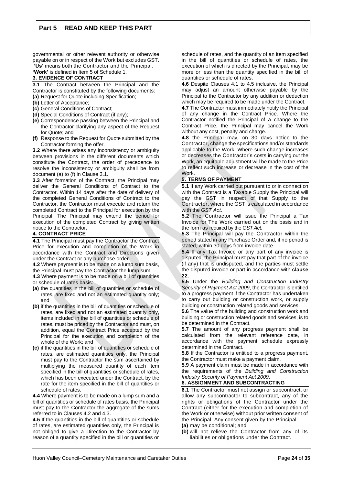governmental or other relevant authority or otherwise payable on or in respect of the Work but excludes GST. **'Us'** means both the Contractor and the Principal.

**'Work'** is defined in Item 5 of Schedule 1.

#### **3. EVIDENCE OF CONTRACT**

**3.1** The Contract between the Principal and the Contractor is constituted by the following documents: **(a)** Request for Quote including Specification;

- **(b)** Letter of Acceptance;
- **(c)** General Conditions of Contract;
- **(d)** Special Conditions of Contract (if any);
- **(e)** Correspondence passing between the Principal and the Contractor clarifying any aspect of the Request for Quote; and
- **(f)** Response to the Request for Quote submitted by the Contractor forming the offer.

**3.2** Where there arises any inconsistency or ambiguity between provisions in the different documents which constitute the Contract, the order of precedence to resolve the inconsistency or ambiguity shall be from document (a) to (f) in Clause 3.1.

**3.3** After formation of the Contract, the Principal may deliver the General Conditions of Contract to the Contractor. Within 14 days after the date of delivery of the completed General Conditions of Contract to the Contractor, the Contractor must execute and return the completed Contract to the Principal for execution by the Principal. The Principal may extend the period for execution of the completed Contract by giving written notice to the Contractor.

#### **4. CONTRACT PRICE**

**4.1** The Principal must pay the Contractor the Contract Price for execution and completion of the Work in accordance with the Contract and Directions given under the Contract or any purchase order.

**4.2** Where payment is to be made on a lump sum basis, the Principal must pay the Contractor the lump sum.

**4.3** Where payment is to be made on a bill of quantities or schedule of rates basis:

- **(a)** the quantities in the bill of quantities or schedule of rates, are fixed and not an estimated quantity only; and
- **(b)** if the quantities in the bill of quantities or schedule of rates, are fixed and not an estimated quantity only, items included in the bill of quantities or schedule of rates, must be priced by the Contractor and must, on addition, equal the Contract Price accepted by the Principal for the execution and completion of the whole of the Work; and
- **(c)** if the quantities in the bill of quantities or schedule of rates, are estimated quantities only, the Principal must pay to the Contractor the sum ascertained by multiplying the measured quantity of each item specified in the bill of quantities or schedule of rates, which has been executed under the Contract, by the rate for the item specified in the bill of quantities or schedule of rates.

**4.4** Where payment is to be made on a lump sum and a bill of quantities or schedule of rates basis, the Principal must pay to the Contractor the aggregate of the sums referred to in Clauses 4.2 and 4.3.

**4.5** If the quantities in the bill of quantities or schedule of rates, are estimated quantities only, the Principal is not obliged to give a Direction to the Contractor by reason of a quantity specified in the bill or quantities or

schedule of rates, and the quantity of an item specified in the bill of quantities or schedule of rates, the execution of which is directed by the Principal, may be more or less than the quantity specified in the bill of quantities or schedule of rates.

**4.6** Despite Clauses 4.1 to 4.5 inclusive, the Principal may adjust an amount otherwise payable by the Principal to the Contractor by any addition or deduction which may be required to be made under the Contract.

**4.7** The Contractor must immediately notify the Principal of any change in the Contract Price. Where the Contractor notified the Principal of a change to the Contract Price, the Principal may cancel the Work without any cost, penalty and charge.

**4.8** the Principal may, on 30 days notice to the Contractor, change the specifications and/or standards applicable to the Work. Where such change increases or decreases the Contractor's costs in carrying out the Work, an equitable adjustment will be made to the Price to reflect such increase or decrease in the cost of the Work.

#### **5. TERMS OF PAYMENT**

**5.1** If any Work carried out pursuant to or in connection with the Contract is a Taxable Supply the Principal will pay the GST in respect of that Supply to the Contractor, where the GST is calculated in accordance with the *GST Act*.

**5.2** The Contractor will issue the Principal a Tax Invoice for The Work carried out on the basis and in the form as required by the *GST Act*.

**5.3** The Principal will pay the Contractor within the period stated in any Purchase Order and, if no period is stated, within 30 days from invoice date.

**5.4** If any Tax Invoice or any part of any invoice is disputed, the Principal must pay that part of the invoice (if any) that is undisputed, and the parties must settle the disputed invoice or part in accordance with **clause 22**.

**5.5** Under the *Building and Construction Industry Security of Payment Act 2009*, the Contractor is entitled to a progress payment if the Contractor has undertaken to carry out building or construction work, or supply building or construction related goods and services.

**5.6** The value of the building and construction work and building or construction related goods and services, is to be determined in the Contract.

**5.7** The amount of any progress payment shall be calculated from the relevant reference date, in accordance with the payment schedule expressly determined in the Contract.

**5.8** If the Contractor is entitled to a progress payment, the Contractor must make a payment claim.

**5.9** A payment claim must be made in accordance with the requirements of the *Building and Construction Industry Security of Payment Act 2009*.

#### **6. ASSIGNMENT AND SUBCONTRACTING**

**6.1** The Contractor must not assign or subcontract, or allow any subcontractor to subcontract, any of the rights or obligations of the Contractor under the Contract (either for the execution and completion of the Work or otherwise) without prior written consent of the Principal. Any consent given by the Principal:

- **(a)** may be conditional; and
- **(b)** will not relieve the Contractor from any of its liabilities or obligations under the Contract.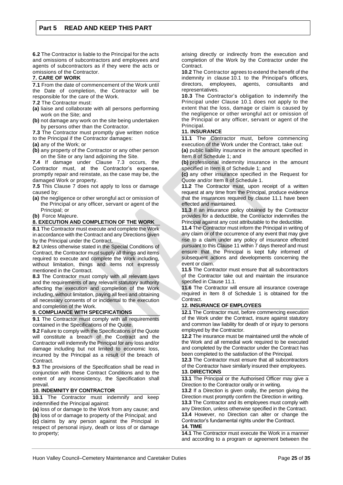**6.2** The Contractor is liable to the Principal for the acts and omissions of subcontractors and employees and agents of subcontractors as if they were the acts or omissions of the Contractor.

#### **7. CARE OF WORK**

**7.1** From the date of commencement of the Work until the Date of completion, the Contractor will be responsible for the care of the Work.

- **7.2** The Contractor must:
- **(a)** liaise and collaborate with all persons performing work on the Site; and
- **(b)** not damage any work on the site being undertaken by persons other than the Contractor.

**7.3** The Contractor must promptly give written notice to the Principal if the Contractor damages:

- **(a)** any of the Work; or
- **(b)** any property of the Contractor or any other person on the Site or any land adjoining the Site.

**7.4** If damage under Clause 7.3 occurs, the Contractor must, at the Contractor's expense, promptly repair and reinstate, as the case may be, the damaged Work or property.

**7.5** This Clause 7 does not apply to loss or damage caused by:

**(a)** the negligence or other wrongful act or omission of the Principal or any officer, servant or agent of the Principal; or

**(b)** Force Majeure.

#### **8. EXECUTION AND COMPLETION OF THE WORK**

**8.1** The Contractor must execute and complete the Work in accordance with the Contract and any Directions given by the Principal under the Contract.

**8.2** Unless otherwise stated in the Special Conditions of Contract, the Contractor must supply all things and items required to execute and complete the Work including, without limitation, things and items not expressly mentioned in the Contract.

**8.3** The Contractor must comply with all relevant laws and the requirements of any relevant statutory authority affecting the execution and completion of the Work including, without limitation, paying all fees and obtaining all necessary consents of or incidental to the execution and completion of the Work.

#### **9. COMPLIANCE WITH SPECIFICATIONS**

**9.1** The Contractor must comply with all requirements contained in the Specifications of the Quote.

**9.2** Failure to comply with the Specifications of the Quote will constitute a breach of the Contract and the Contractor will indemnify the Principal for any loss and/or damage including but not limited to economic loss, incurred by the Principal as a result of the breach of Contract.

**9.3** The provisions of the Specification shall be read in conjunction with these Contract Conditions and to the extent of any inconsistency, the Specification shall prevail.

#### **10. INDEMNITY BY CONTRACTOR**

**10.1** The Contractor must indemnify and keep indemnified the Principal against:

**(a)** loss of or damage to the Work from any cause; and **(b)** loss of or damage to property of the Principal; and **(c)** claims by any person against the Principal in respect of personal injury, death or loss of or damage to property;

arising directly or indirectly from the execution and completion of the Work by the Contractor under the Contract.

**10.2** The Contractor agrees to extend the benefit of the indemnity in clause 10.1 to the Principal's officers, directors, employees, agents, consultants representatives.

**10.3** The Contractor's obligation to indemnify the Principal under Clause 10.1 does not apply to the extent that the loss, damage or claim is caused by the negligence or other wrongful act or omission of the Principal or any officer, servant or agent of the Principal.

#### **11. INSURANCE**

**11.1** The Contractor must, before commencing execution of the Work under the Contract, take out:

**(a)** public liability insurance in the amount specified in Item 8 of Schedule 1; and

**(b)** professional indemnity insurance in the amount specified in Item 8 of Schedule 1; and

**(c)** any other insurance specified in the Request for Quote and/or Item 8 of Schedule 1.

**11.2** The Contractor must, upon receipt of a written request at any time from the Principal, produce evidence that the insurances required by clause 11.1 have been effected and maintained.

**11.3** If an insurance policy obtained by the Contractor provides for a deductible, the Contractor indemnifies the Principal against any cost attributable to the deductible.

**11.4** The Contractor must inform the Principal in writing of any claim or of the occurrence of any event that may give rise to a claim under any policy of insurance effected pursuant to this Clause 11 within 7 days thereof and must ensure that the Principal is kept fully informed of subsequent actions and developments concerning the event or claim.

**11.5** The Contractor must ensure that all subcontractors of the Contractor take out and maintain the insurance specified in Clause 11.1.

**11.6** The Contractor will ensure all insurance coverage required in Item 8 of Schedule 1 is obtained for the Contract.

#### **12. INSURANCE OF EMPLOYEES**

**12.1** The Contractor must, before commencing execution of the Work under the Contract, insure against statutory and common law liability for death of or injury to persons employed by the Contractor.

**12.2** The insurance must be maintained until the whole of the Work and all remedial work required to be executed and completed by the Contractor under the Contract has been completed to the satisfaction of the Principal.

**12.3** The Contractor must ensure that all subcontractors of the Contractor have similarly insured their employees. **13. DIRECTIONS**

**13.1** The Principal or the Authorised Officer may give a Direction to the Contractor orally or in writing.

**13.2** If a Direction is given orally, the person giving the Direction must promptly confirm the Direction in writing.

**13.3** The Contractor and its employees must comply with any Direction, unless otherwise specified in the Contract. **13.4** However, no Direction can alter or change the Contractor's fundamental rights under the Contract.

#### **14. TIME**

**14.1** The Contractor must execute the Work in a manner and according to a program or agreement between the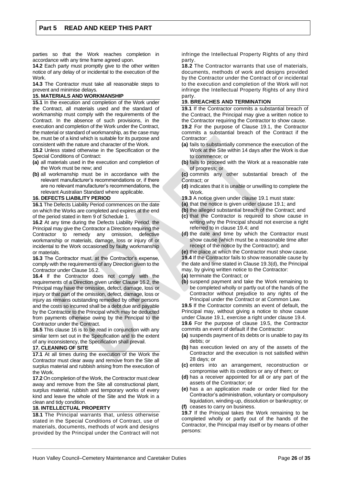parties so that the Work reaches completion in accordance with any time frame agreed upon.

**14.2** Each party must promptly give to the other written notice of any delay of or incidental to the execution of the **Work** 

**14.3** The Contractor must take all reasonable steps to prevent and minimise delays.

#### **15. MATERIALS AND WORKMANSHIP**

**15.1** In the execution and completion of the Work under the Contract, all materials used and the standard of workmanship must comply with the requirements of the Contract. In the absence of such provisions, in the execution and completion of the Work under the Contract, the material or standard of workmanship, as the case may be, must be of a kind which is suitable for its purpose and consistent with the nature and character of the Work.

**15.2** Unless stated otherwise in the Specification or the Special Conditions of Contract:

- **(a)** all materials used in the execution and completion of the Work must be new; and
- **(b)** all workmanship must be in accordance with the relevant manufacturer's recommendations or, if there are no relevant manufacturer's recommendations, the relevant Australian Standard where applicable.

#### **16. DEFECTS LIABILITY PERIOD**

**16.1** The Defects Liability Period commences on the date on which the Works are completed and expires at the end of the period stated in Item 9 of Schedule 1.

**16.2** At any time during the Defects Liability Period, the Principal may give the Contractor a Direction requiring the Contractor to remedy any omission, defective workmanship or materials, damage, loss or injury of or incidental to the Work occasioned by faulty workmanship or materials.

**16.3** The Contractor must, at the Contractor's expense, comply with the requirements of any Direction given to the Contractor under Clause 16.2.

**16.4** If the Contractor does not comply with the requirements of a Direction given under Clause 16.2, the Principal may have the omission, defect, damage, loss or injury or that part of the omission, defect, damage, loss or injury as remains outstanding remedied by other persons and the costs so incurred shall be a debt due and payable by the Contractor to the Principal which may be deducted from payments otherwise owing by the Principal to the Contractor under the Contract.

**16.5** This clause 16 is to be read in conjunction with any similar term set out in the Specification and to the extent of any inconsistency, the Specification shall prevail.

### **17. CLEANING OF SITE**

**17.1** At all times during the execution of the Work the Contractor must clear away and remove from the Site all surplus material and rubbish arising from the execution of the Work.

**17.2** On completion of the Work, the Contractor must clear away and remove from the Site all constructional plant, surplus material, rubbish and temporary works of every kind and leave the whole of the Site and the Work in a clean and tidy condition.

#### **18. INTELLECTUAL PROPERTY**

**18.1** The Principal warrants that, unless otherwise stated in the Special Conditions of Contract, use of materials, documents, methods of work and designs provided by the Principal under the Contract will not

infringe the Intellectual Property Rights of any third party.

**18.2** The Contractor warrants that use of materials, documents, methods of work and designs provided by the Contractor under the Contract of or incidental to the execution and completion of the Work will not infringe the Intellectual Property Rights of any third party.

#### **19. BREACHES AND TERMINATION**

**19.1** If the Contractor commits a substantial breach of the Contract, the Principal may give a written notice to the Contractor requiring the Contractor to show cause. **19.2** For the purpose of Clause 19.1, the Contractor commits a substantial breach of the Contract if the Contractor:

- **(a)** fails to substantially commence the execution of the Work at the Site within 14 days after the Work is due to commence; or
- **(b)** fails to proceed with the Work at a reasonable rate of progress; or
- **(c)** commits any other substantial breach of the Contract; or
- **(d)** indicates that it is unable or unwilling to complete the Work.
- **19.3** A notice given under clause 19.1 must state:
- **(a)** that the notice is given under clause 19.1; and
- **(b)** the alleged substantial breach of the Contract; and
- **(c)** that the Contractor is required to show cause in writing why the Principal should not exercise a right referred to in clause 19.4; and
- **(d)** the date and time by which the Contractor must show cause (which must be a reasonable time after receipt of the notice by the Contractor); and
- **(e)** the place at which the Contractor must show cause. **19.4** If the Contractor fails to show reasonable cause by
- the date and time stated in Clause 19.3(d), the Principal
- may, by giving written notice to the Contractor:
- **(a)** terminate the Contract; or
- **(b)** suspend payment and take the Work remaining to be completed wholly or partly out of the hands of the Contractor without prejudice to any rights of the Principal under the Contract or at Common Law.

**19.5** If the Contractor commits an event of default, the Principal may, without giving a notice to show cause under Clause 19.1, exercise a right under clause 19.4.

**19.6** For the purpose of clause 19.5, the Contractor commits an event of default if the Contractor:

- **(a)** suspends payment of its debts or is unable to pay its debts; or
- **(b)** has execution levied on any of the assets of the Contractor and the execution is not satisfied within 28 days; or
- **(c)** enters into an arrangement, reconstruction or compromise with its creditors or any of them; or
- **(d)** has a receiver appointed for all or any part of the assets of the Contractor; or
- **(e)** has a an application made or order filed for the Contractor's administration, voluntary or compulsory liquidation, winding-up, dissolution or bankruptcy; or
- **(f)** ceases to carry on business.

**19.7** If the Principal takes the Work remaining to be completed wholly or partly out of the hands of the Contractor, the Principal may itself or by means of other persons: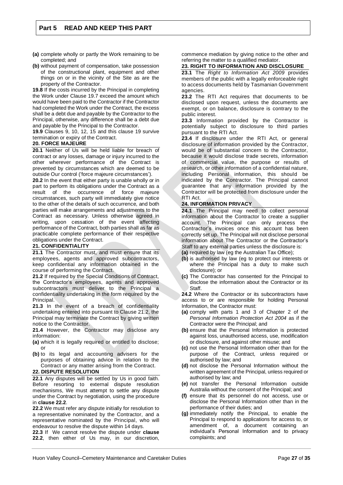- **(a)** complete wholly or partly the Work remaining to be completed; and
- **(b)** without payment of compensation, take possession of the constructional plant, equipment and other things on or in the vicinity of the Site as are the property of the Contractor.

**19.8** If the costs incurred by the Principal in completing the Work under Clause 19.7 exceed the amount which would have been paid to the Contractor if the Contractor had completed the Work under the Contract, the excess shall be a debt due and payable by the Contractor to the Principal, otherwise, any difference shall be a debt due and payable by the Principal to the Contractor.

**19.9** Clauses 9, 10, 12, 15 and this clause 19 survive termination or expiry of the Contract.

#### **20. FORCE MAJEURE**

**20.1** Neither of Us will be held liable for breach of contract or any losses, damage or injury incurred to the other wherever performance of the Contract is prevented by circumstances which are deemed to be outside Our control ('force majeure circumstances').

**20.2** In the event that either party is unable wholly or in part to perform its obligations under the Contract as a result of the occurrence of force majeure circumstances, such party will immediately give notice to the other of the details of such occurrence, and both parties will make arrangements and adjustments to the Contract as necessary. Unless otherwise agreed in writing, upon cessation of the event affecting performance of the Contract, both parties shall as far as practicable complete performance of their respective obligations under the Contract.

#### **21. CONFIDENTIALITY**

**21.1** The Contractor must, and must ensure that its employees, agents and approved subcontractors, keep confidential any information obtained in the course of performing the Contract.

**21.2** If required by the Special Conditions of Contract, the Contractor's employees, agents and approved subcontractors must deliver to the Principal a confidentiality undertaking in the form required by the Principal.

**21.3** In the event of a breach of confidentiality undertaking entered into pursuant to Clause 21.2, the Principal may terminate the Contract by giving written notice to the Contractor.

**21.4** However, the Contractor may disclose any information:

- **(a)** which it is legally required or entitled to disclose; or
- **(b)** to its legal and accounting advisers for the purposes of obtaining advice in relation to the Contract or any matter arising from the Contract.

#### **22. DISPUTE RESOLUTION**

**22.1** Any disputes will be settled by Us in good faith. Before resorting to external dispute resolution mechanisms, We must attempt to settle any dispute under the Contract by negotiation, using the procedure in **clause 22.2**.

**22.2** We must refer any dispute initially for resolution to a representative nominated by the Contractor, and a representative nominated by the Principal, who will endeavour to resolve the dispute within 14 days.

**22.3** If We cannot resolve the dispute under **clause 22.2**, then either of Us may, in our discretion, commence mediation by giving notice to the other and referring the matter to a qualified mediator.

#### **23. RIGHT TO INFORMATION AND DISCLOSURE**

**23.1** The *Right to Information Act 2009* provides members of the public with a legally enforceable right to access documents held by Tasmanian Government agencies.

**23.2** The RTI Act requires that documents to be disclosed upon request, unless the documents are exempt, or on balance, disclosure is contrary to the public interest.

**23.3** Information provided by the Contractor is potentially subject to disclosure to third parties pursuant to the RTI Act.

**23.4** If disclosure under the RTI Act, or general disclosure of information provided by the Contractor, would be of substantial concern to the Contractor, because it would disclose trade secrets, information of commercial value, the purpose or results of research, or other information of a confidential nature, including Personal information, this should be indicated by the Contractor. The Principal cannot guarantee that any information provided by the Contractor will be protected from disclosure under the RTI Act.

#### **24. INFORMATION PRIVACY**

**24.1** The Principal may need to collect personal information about the Contractor to create a supplier account. The Principal can only process the Contractor's invoices once this account has been correctly set up. The Principal will not disclose personal information about The Contractor or the Contractor's Staff to any external parties unless the disclosure is:

**(a)** required by law (eg the Australian Tax Office);

- **(b)** is authorised by law (eg to protect our interests or where the Principal has a duty to make such disclosure); or
- **(c)** The Contractor has consented for the Principal to disclose the information about the Contractor or its **Staff**

**24.2** Where the Contractor or its subcontractors have access to or are responsible for holding Personal Information, the Contractor must:

- **(a)** comply with parts 1 and 3 of Chapter 2 of *the Personal Information Protection Act 2004* as if the Contractor were the Principal; and
- **(b)** ensure that the Personal Information is protected against loss, unauthorised access, use, modification or disclosure, and against other misuse; and
- **(c)** not use the Personal Information other than for the purpose of the Contract, unless required or authorised by law; and
- **(d)** not disclose the Personal Information without the written agreement of the Principal, unless required or authorised by law; and
- **(e)** not transfer the Personal Information outside Australia without the consent of the Principal; and
- **(f)** ensure that its personnel do not access, use or disclose the Personal Information other than in the performance of their duties; and
- **(g)** immediately notify the Principal, to enable the Principal to respond to applications for access to, or amendment of, a document containing an individual's Personal Information and to privacy complaints; and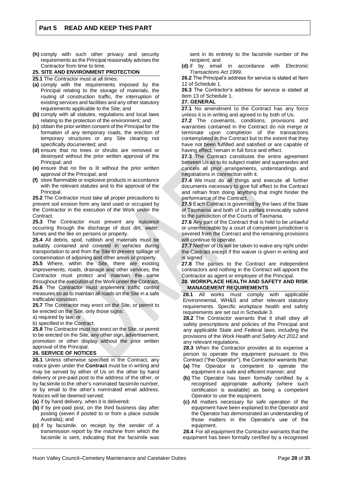**(h)** comply with such other privacy and security requirements as the Principal reasonably advises the Contractor from time to time.

#### **25. SITE AND ENVIRONMENT PROTECTION**

**25.1** The Contractor must at all times:

- **(a)** comply with the requirements imposed by the Principal relating to the storage of materials, the routing of construction traffic, the interruption of existing services and facilities and any other statutory requirements applicable to the Site; and
- **(b)** comply with all statutes, regulations and local laws relating to the protection of the environment; and
- **(c)** obtain the prior written consent of the Principal for the formation of any temporary roads, the erection of temporary structures or any Site clearing not specifically documented; and
- **(d)** ensure that no trees or shrubs are removed or destroyed without the prior written approval of the Principal; and
- **(e)** ensure that no fire is lit without the prior written approval of the Principal; and
- **(f)** store flammable or explosive products in accordance with the relevant statutes and to the approval of the Principal.

**25.2** The Contractor must take all proper precautions to prevent soil erosion form any land used or occupied by the Contractor in the execution of the Work under the **Contract** 

**25.3** The Contractor must prevent any nuisance occurring through the discharge of dust dirt, water, fumes and the like on persons or property.

**25.4** All debris, spoil, rubbish and materials must be suitably contained and covered in vehicles during transportation to and from the Site to prevent spillage or contamination of adjoining and other areas or property.

25.5 Where, within the Site, there are existing improvements, roads, drainage and other services, the Contractor must protect and maintain the same throughout the execution of the Work under the Contract. **25.6** The Contractor must implement traffic control measures so as to maintain all roads on the Site in a safe trafficable condition.

**25.7** The Contractor may erect on the Site, or permit to be erected on the Site, only those signs:

a) required by law; or

b) specified in the Contract.

**25.8** The Contractor must not erect on the Site, or permit to be erected on the Site, any other sign, advertisement, promotion or other display without the prior written approval of the Principal.

#### **26. SERVICE OF NOTICES**

**26.1** Unless otherwise specified in the Contract, any notice given under the **Contract** must be in writing and may be served by either of Us on the other by hand delivery or pre-paid post to the address of the other, or by facsimile to the other's nominated facsimile number, or by email to the other's nominated email address. Notices will be deemed served:

**(a)** if by hand delivery, when it is delivered;

- **(b)** if by pre-paid post, on the third business day after posting (seven if posted to or from a place outside Australia); and
- **(c)** if by facsimile, on receipt by the sender of a transmission report by the machine from which the facsimile is sent, indicating that the facsimile was

sent in its entirety to the facsimile number of the recipient; and

**(d)** if by email in accordance with *Electronic Transactions Act 1999*.

**26.2** The Principal's address for service is stated at Item 12 of Schedule 1.

**26.3** The Contractor's address for service is stated at Item 13 of Schedule 1.

#### **27. GENERAL**

27.1 No amendment to the Contract has any force unless it is in writing and agreed to by both of Us.

**27.2** The covenants, conditions, provisions and warranties contained in the Contract do not merge or terminate upon completion of the transactions contemplated in the Contract but to the extent that they have not been fulfilled and satisfied or are capable of having effect, remain in full force and effect.

**27.3** The Contract constitutes the entire agreement between Us as to its subject matter and supersedes and cancels all prior arrangements, understandings and negotiations in connection with it.

**27.4** We must do all things and execute all further documents necessary to give full effect to the Contract and refrain from doing anything that might hinder the performance of the Contract.

**27.5** Each Contract is governed by the laws of the State of Tasmania and both of Us parties irrevocably submit to the jurisdiction of the Courts of Tasmania.

**27.6** Any part of the Contract that is held to be unlawful or unenforceable by a court of competent jurisdiction is severed from the Contract and the remaining provisions will continue to operate.

**27.7** Neither of Us will be taken to waive any right under the Contract except if the waiver is given in writing and is signed.

**27.8** The parties to the Contract are independent contractors and nothing in the Contract will appoint the Contractor as agent or employee of the Principal.

#### **28. WORKPLACE HEALTH AND SAFETY AND RISK MANAGEMENT REQUIREMENTS**

**28.1** All works must comply with applicable Environmental, WH&S and other relevant statutory requirements. Specific workplace health and safety requirements are set out in Schedule 3.

**28.2** The Contractor warrants that it shall obey all safety prescriptions and policies of the Principal and any applicable State and Federal laws, including the provisions of the *Work Health and Safety Act 2012* and any relevant regulations.

**28.3** When the Contractor provides at its expense a person to operate the equipment pursuant to this Contract ("the Operator"), the Contractor warrants that:

- **(a)** The Operator is competent to operate the equipment in a safe and efficient manner; and
- **(b)** The Operator has been formally certified by a recognised appropriate authority (where such certification is available) as being a competent Operator to use the equipment.
- **(c)** All matters necessary for safe operation of the equipment have been explained to the Operator and the Operator has demonstrated an understanding of those matters in the Operator's use of the equipment.

**28.4** For all equipment the Contractor warrants that the equipment has been formally certified by a recognised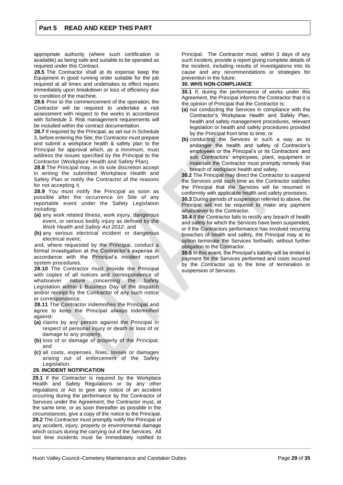appropriate authority (where such certification is available) as being safe and suitable to be operated as required under this Contract.

**28.5** The Contractor shall at its expense keep the Equipment in good running order suitable for the job required at all times and undertakes to effect repairs immediately upon breakdown or loss of efficiency due to condition of the machine.

**28.6** Prior to the commencement of the operation, the Contractor will be required to undertake a risk assessment with respect to the works in accordance with Schedule 3. Risk management requirements will be included within the contract documentation.

**28.7** If required by the Principal, as set out in Schedule 3, before entering the Site, the Contractor must prepare and submit a workplace health & safety plan to the Principal for approval which, as a minimum, must address the issues specified by the Principal to the Contractor (Workplace Health and Safety Plan).

**28.8** The Principal may, in its sole discretion accept in writing the submitted Workplace Health and Safety Plan or notify the Contractor of the reasons for not accepting it.

**28.9** You must notify the Principal as soon as possible after the occurrence on Site of any reportable event under the Safety Legislation including:

- **(a)** any work related illness, work injury, dangerous event, or serious bodily injury as defined by the *Work Health and Safety Act 2012*; and
- **(b)** any serious electrical incident or dangerous electrical event;

and, where requested by the Principal, conduct a formal investigation at the Contractor's expense in accordance with the Principal's incident report system procedures.

**28.10** The Contractor must provide the Principal with copies of all notices and correspondence of whatsoever nature concerning the Safety Legislation within 1 Business Day of the dispatch and/or receipt by the Contractor of any such notice or correspondence.

**28.11** The Contractor indemnifies the Principal and agree to keep the Principal always indemnified against:

- **(a)** claims by any person against the Principal in respect of personal injury or death or loss of or damage to any property.
- **(b)** loss of or damage of property of the Principal; and
- **(c)** all costs, expenses, fines, losses or damages arising out of enforcement of the Safety Legislation.

#### **29. INCIDENT NOTIFICATION**

**29.1** If the Contractor is required by the Workplace Health and Safety Regulations or by any other regulations or Act to give any notice of an accident occurring during the performance by the Contractor of Services under the Agreement, the Contractor must, at the same time, or as soon thereafter as possible in the circumstances, give a copy of the notice to the Principal. **29.2** The Contractor must promptly notify the Principal of any accident, injury, property or environmental damage which occurs during the carrying out of the Services. All lost time incidents must be immediately notified to

Principal. The Contractor must, within 3 days of any such incident, provide a report giving complete details of the incident, including results of investigations into its cause and any recommendations or strategies for prevention in the future.

#### **30. WHS NON-COMPLIANCE**

**30.1** If, during the performance of works under this Agreement, the Principal informs the Contractor that it is the opinion of Principal that the Contractor is:

- **(a)** not conducting the Services in compliance with the Contractor's Workplace Health and Safety Plan, health and safety management procedures, relevant legislation or health and safety procedures provided by the Principal from time to time; or
- **(b)** conducting the Services in such a way as to endanger the health and safety of Contractor's employees or the Principal's or its Contractors' and sub Contractors' employees, plant, equipment or materials the Contractor must promptly remedy that breach of workplace health and safety.

**30.2** The Principal may direct the Contractor to suspend the Services until such time as the Contractor satisfies the Principal that the Services will be resumed in conformity with applicable health and safety provisions.

**30.3** During periods of suspension referred to above, the Principal will not be required to make any payment whatsoever to the Contractor.

**30.4** If the Contractor fails to rectify any breach of health and safety for which the Services have been suspended, or if the Contractors performance has involved recurring breaches of health and safety, the Principal may at its option terminate the Services forthwith, without further obligation to the Contractor.

**30.5** In this event, the Principal's liability will be limited to payment for the Services performed and costs incurred by the Contractor up to the time of termination or suspension of Services.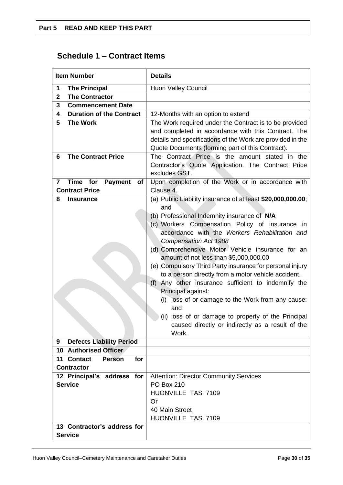# **Schedule 1 – Contract Items**

| <b>Item Number</b>                                                    | <b>Details</b>                                                                                     |
|-----------------------------------------------------------------------|----------------------------------------------------------------------------------------------------|
| <b>The Principal</b><br>1                                             | <b>Huon Valley Council</b>                                                                         |
| $\mathbf{2}$<br><b>The Contractor</b>                                 |                                                                                                    |
| 3<br><b>Commencement Date</b>                                         |                                                                                                    |
| <b>Duration of the Contract</b><br>4                                  | 12-Months with an option to extend                                                                 |
| <b>The Work</b><br>5                                                  | The Work required under the Contract is to be provided                                             |
|                                                                       | and completed in accordance with this Contract. The                                                |
|                                                                       | details and specifications of the Work are provided in the                                         |
|                                                                       | Quote Documents (forming part of this Contract).                                                   |
| <b>The Contract Price</b><br>6                                        | The Contract Price is the amount stated in the                                                     |
|                                                                       | Contractor's Quote Application. The Contract Price                                                 |
|                                                                       | excludes GST.                                                                                      |
| <b>Time</b><br>for<br><b>Payment</b><br>$\overline{\mathbf{r}}$<br>of | Upon completion of the Work or in accordance with                                                  |
| <b>Contract Price</b>                                                 | Clause 4.                                                                                          |
| 8<br><b>Insurance</b>                                                 | (a) Public Liability insurance of at least \$20,000,000.00;                                        |
|                                                                       | and                                                                                                |
|                                                                       | (b) Professional Indemnity insurance of N/A                                                        |
|                                                                       | (c) Workers Compensation Policy of insurance in                                                    |
|                                                                       | accordance with the Workers Rehabilitation and                                                     |
|                                                                       | <b>Compensation Act 1988</b>                                                                       |
|                                                                       | (d) Comprehensive Motor Vehicle insurance for an                                                   |
|                                                                       | amount of not less than \$5,000,000.00<br>(e) Compulsory Third Party insurance for personal injury |
|                                                                       | to a person directly from a motor vehicle accident.                                                |
|                                                                       | (f) Any other insurance sufficient to indemnify the                                                |
|                                                                       | Principal against:                                                                                 |
|                                                                       | (i) loss of or damage to the Work from any cause;                                                  |
|                                                                       | and                                                                                                |
|                                                                       | (ii) loss of or damage to property of the Principal                                                |
|                                                                       | caused directly or indirectly as a result of the                                                   |
|                                                                       | Work.                                                                                              |
| <b>Defects Liability Period</b><br>9                                  |                                                                                                    |
| <b>10 Authorised Officer</b>                                          |                                                                                                    |
| 11 Contact<br>for<br><b>Person</b>                                    |                                                                                                    |
| <b>Contractor</b>                                                     |                                                                                                    |
| 12 Principal's address for                                            | <b>Attention: Director Community Services</b>                                                      |
| <b>Service</b>                                                        | <b>PO Box 210</b>                                                                                  |
|                                                                       | HUONVILLE TAS 7109                                                                                 |
|                                                                       | Or                                                                                                 |
|                                                                       | 40 Main Street                                                                                     |
|                                                                       | HUONVILLE TAS 7109                                                                                 |
| 13 Contractor's address for                                           |                                                                                                    |
| <b>Service</b>                                                        |                                                                                                    |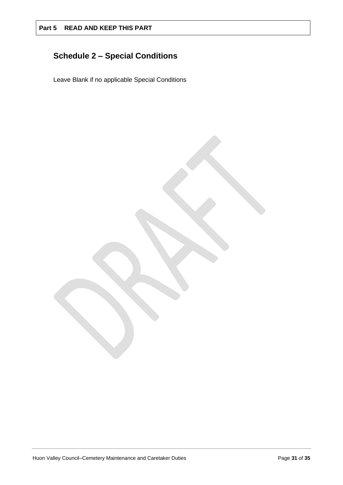# **Schedule 2 – Special Conditions**

Leave Blank if no applicable Special Conditions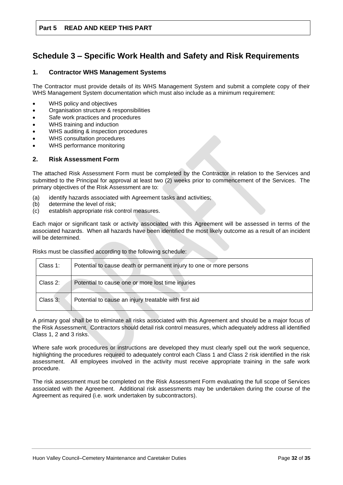# **Schedule 3 – Specific Work Health and Safety and Risk Requirements**

### **1. Contractor WHS Management Systems**

The Contractor must provide details of its WHS Management System and submit a complete copy of their WHS Management System documentation which must also include as a minimum requirement:

- WHS policy and objectives
- Organisation structure & responsibilities
- Safe work practices and procedures
- WHS training and induction
- WHS auditing & inspection procedures
- WHS consultation procedures
- WHS performance monitoring

#### **2. Risk Assessment Form**

The attached Risk Assessment Form must be completed by the Contractor in relation to the Services and submitted to the Principal for approval at least two (2) weeks prior to commencement of the Services. The primary objectives of the Risk Assessment are to:

- (a) identify hazards associated with Agreement tasks and activities;
- (b) determine the level of risk;
- (c) establish appropriate risk control measures.

Each major or significant task or activity associated with this Agreement will be assessed in terms of the associated hazards. When all hazards have been identified the most likely outcome as a result of an incident will be determined.

Risks must be classified according to the following schedule:

| Class 1: | Potential to cause death or permanent injury to one or more persons |
|----------|---------------------------------------------------------------------|
| Class 2: | Potential to cause one or more lost time injuries                   |
| Class 3: | Potential to cause an injury treatable with first aid               |

A primary goal shall be to eliminate all risks associated with this Agreement and should be a major focus of the Risk Assessment. Contractors should detail risk control measures, which adequately address all identified Class 1, 2 and 3 risks.

Where safe work procedures or instructions are developed they must clearly spell out the work sequence, highlighting the procedures required to adequately control each Class 1 and Class 2 risk identified in the risk assessment. All employees involved in the activity must receive appropriate training in the safe work procedure.

The risk assessment must be completed on the Risk Assessment Form evaluating the full scope of Services associated with the Agreement. Additional risk assessments may be undertaken during the course of the Agreement as required (i.e. work undertaken by subcontractors).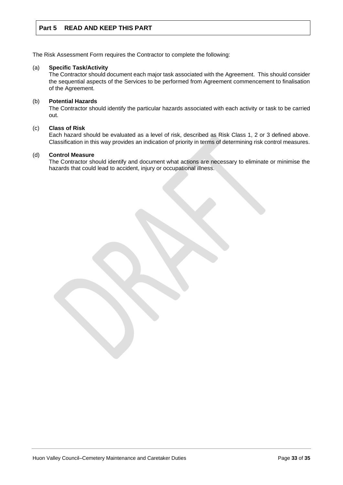The Risk Assessment Form requires the Contractor to complete the following:

#### (a) **Specific Task/Activity**

The Contractor should document each major task associated with the Agreement. This should consider the sequential aspects of the Services to be performed from Agreement commencement to finalisation of the Agreement.

#### (b) **Potential Hazards**

The Contractor should identify the particular hazards associated with each activity or task to be carried out.

#### (c) **Class of Risk**

Each hazard should be evaluated as a level of risk, described as Risk Class 1, 2 or 3 defined above. Classification in this way provides an indication of priority in terms of determining risk control measures.

#### (d) **Control Measure**

The Contractor should identify and document what actions are necessary to eliminate or minimise the hazards that could lead to accident, injury or occupational illness.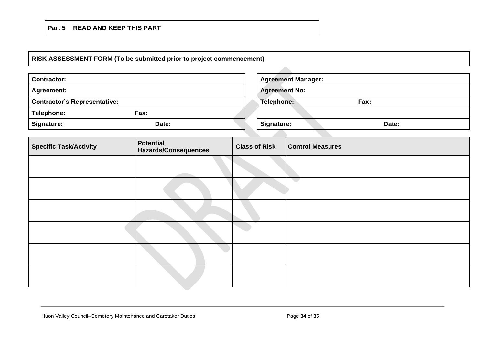## **RISK ASSESSMENT FORM (To be submitted prior to project commencement)**

| <b>Contractor:</b>                  |                                                 |                      | <b>Agreement Manager:</b> |                         |       |
|-------------------------------------|-------------------------------------------------|----------------------|---------------------------|-------------------------|-------|
| <b>Agreement:</b>                   |                                                 |                      | <b>Agreement No:</b>      |                         |       |
| <b>Contractor's Representative:</b> |                                                 |                      | Telephone:<br>Fax:        |                         |       |
| Telephone:<br>Fax:                  |                                                 |                      |                           |                         |       |
| Signature:<br>Date:                 |                                                 |                      | Signature:                |                         | Date: |
|                                     |                                                 |                      |                           |                         |       |
| <b>Specific Task/Activity</b>       | <b>Potential</b><br><b>Hazards/Consequences</b> | <b>Class of Risk</b> |                           | <b>Control Measures</b> |       |
|                                     |                                                 |                      |                           |                         |       |
|                                     |                                                 |                      |                           | $\sum_{i=1}^n \alpha_i$ |       |
|                                     |                                                 |                      |                           |                         |       |
|                                     |                                                 |                      |                           |                         |       |
|                                     |                                                 |                      |                           |                         |       |
|                                     |                                                 |                      |                           |                         |       |